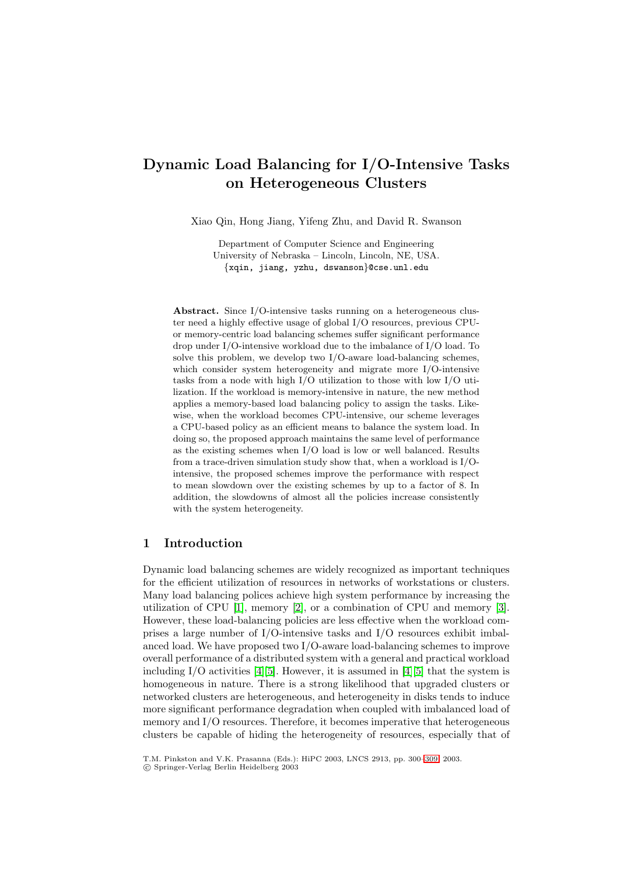# **Dynamic Load Balancing for I/O-Intensive Tasks on Heterogeneous Clusters**

Xiao Qin, Hong Jiang, Yifeng Zhu, and David R. Swanson

Department of Computer Science and Engineering University of Nebraska – Lincoln, Lincoln, NE, USA. {xqin, jiang, yzhu, dswanson}@cse.unl.edu

**Abstract.** Since I/O-intensive tasks running on a heterogeneous cluster need a highly effective usage of global I/O resources, previous CPUor memory-centric load balancing schemes suffer significant performance drop under I/O-intensive workload due to the imbalance of I/O load. To solve this problem, we develop two I/O-aware load-balancing schemes, which consider system heterogeneity and migrate more I/O-intensive tasks from a node with high I/O utilization to those with low I/O utilization. If the workload is memory-intensive in nature, the new method applies a memory-based load balancing policy to assign the tasks. Likewise, when the workload becomes CPU-intensive, our scheme leverages a CPU-based policy as an efficient means to balance the system load. In doing so, the proposed approach maintains the same level of performance as the existing schemes when I/O load is low or well balanced. Results from a trace-driven simulation study show that, when a workload is I/Ointensive, the proposed schemes improve the performance with respect to mean slowdown over the existing schemes by up to a factor of 8. In addition, the slowdowns of almost all the policies increase consistently with the system heterogeneity.

### **1 Introduction**

Dynamic load balancing schemes are widely recognized as important techniques for the efficient utilization of resources in networks of workstations or clusters. Many load balancing polices achieve high system performance by increasing the utilization of CPU [\[1\]](#page-9-0), memory [\[2\]](#page-9-0), or a combination of CPU and memory [\[3\]](#page-9-0). However, these load-balancing policies are less effective when the workload comprises a large number of I/O-intensive tasks and I/O resources exhibit imbalanced load. We have proposed two I/O-aware load-balancing schemes to improve overall performance of a distributed system with a general and practical workload including  $I/O$  activities [\[4\]\[5\]](#page-9-0). However, it is assumed in [4][5] that the system is homogeneous in nature. There is a strong likelihood that upgraded clusters or networked clusters are heterogeneous, and heterogeneity in disks tends to induce more significant performance degradation when coupled with imbalanced load of memory and I/O resources. Therefore, it becomes imperative that heterogeneous clusters be capable of hiding the heterogeneity of resources, especially that of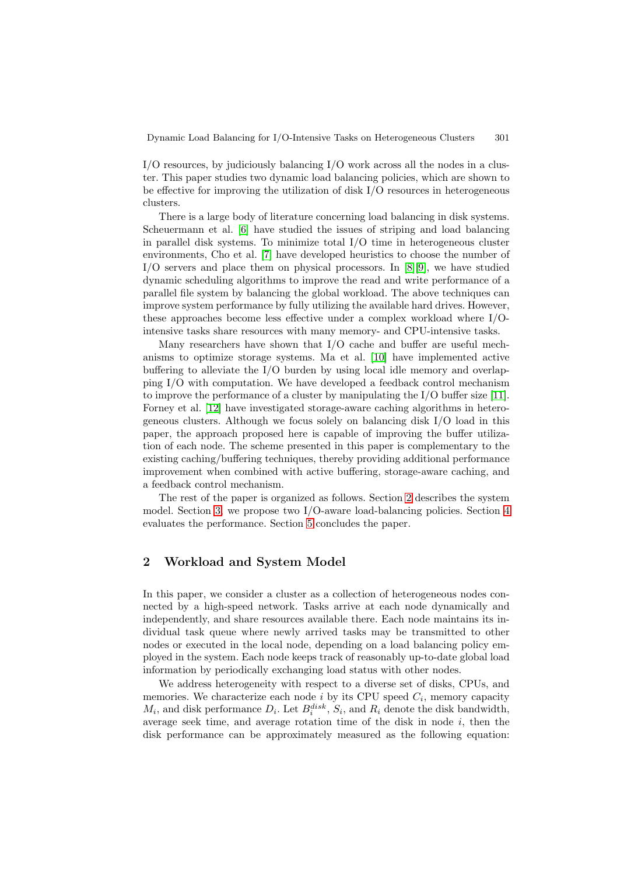I/O resources, by judiciously balancing I/O work across all the nodes in a cluster. This paper studies two dynamic load balancing policies, which are shown to be effective for improving the utilization of disk I/O resources in heterogeneous clusters.

There is a large body of literature concerning load balancing in disk systems. Scheuermann et al. [\[6\]](#page-9-0) have studied the issues of striping and load balancing in parallel disk systems. To minimize total I/O time in heterogeneous cluster environments, Cho et al. [\[7\]](#page-9-0) have developed heuristics to choose the number of I/O servers and place them on physical processors. In [\[8\]\[9\]](#page-9-0), we have studied dynamic scheduling algorithms to improve the read and write performance of a parallel file system by balancing the global workload. The above techniques can improve system performance by fully utilizing the available hard drives. However, these approaches become less effective under a complex workload where I/Ointensive tasks share resources with many memory- and CPU-intensive tasks.

Many researchers have shown that I/O cache and buffer are useful mechanisms to optimize storage systems. Ma et al. [\[10\]](#page-9-0) have implemented active buffering to alleviate the I/O burden by using local idle memory and overlapping I/O with computation. We have developed a feedback control mechanism to improve the performance of a cluster by manipulating the I/O buffer size [\[11\]](#page-9-0). Forney et al. [\[12\]](#page-9-0) have investigated storage-aware caching algorithms in heterogeneous clusters. Although we focus solely on balancing disk I/O load in this paper, the approach proposed here is capable of improving the buffer utilization of each node. The scheme presented in this paper is complementary to the existing caching/buffering techniques, thereby providing additional performance improvement when combined with active buffering, storage-aware caching, and a feedback control mechanism.

The rest of the paper is organized as follows. Section 2 describes the system model. Section [3,](#page-2-0) we propose two I/O-aware load-balancing policies. Section [4](#page-5-0) evaluates the performance. Section [5](#page-8-0) concludes the paper.

### **2 Workload and System Model**

In this paper, we consider a cluster as a collection of heterogeneous nodes connected by a high-speed network. Tasks arrive at each node dynamically and independently, and share resources available there. Each node maintains its individual task queue where newly arrived tasks may be transmitted to other nodes or executed in the local node, depending on a load balancing policy employed in the system. Each node keeps track of reasonably up-to-date global load information by periodically exchanging load status with other nodes.

We address heterogeneity with respect to a diverse set of disks, CPUs, and memories. We characterize each node i by its CPU speed  $C_i$ , memory capacity  $M_i$ , and disk performance  $D_i$ . Let  $B_i^{disk}$ ,  $S_i$ , and  $R_i$  denote the disk bandwidth, average seek time, and average rotation time of the disk in node  $i$ , then the disk performance can be approximately measured as the following equation: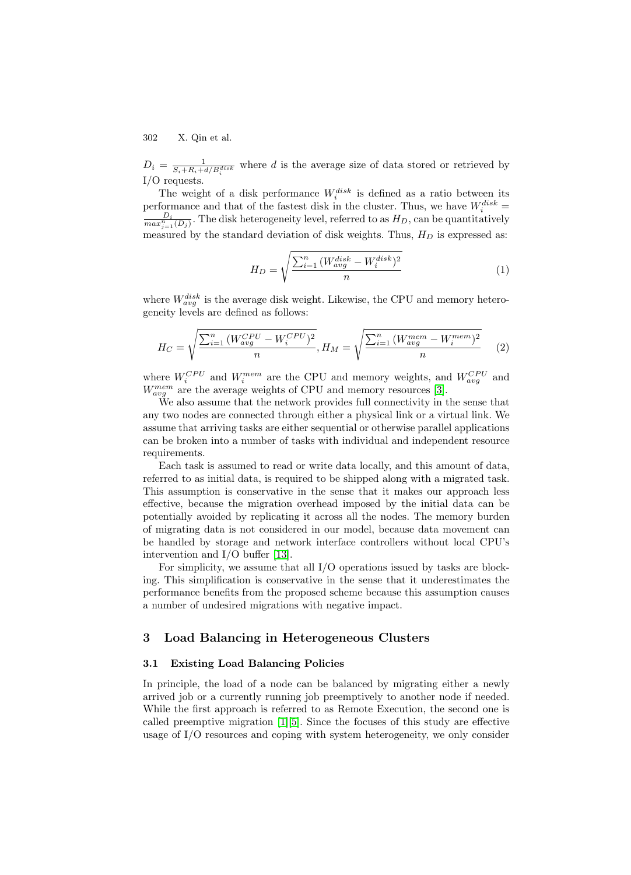<span id="page-2-0"></span> $D_i = \frac{1}{S_i + R_i + d/B_i^{disk}}$  where d is the average size of data stored or retrieved by I/O requests.

The weight of a disk performance  $W_i^{disk}$  is defined as a ratio between its performance and that of the fastest disk in the cluster. Thus, we have  $W_i^{disk} = \frac{D_i}{\sqrt{2}}$ . The disk heterograpity layel, referred to as  $H_D$  can be quantitatively  $\frac{D_i}{max_{j=1}^n(D_j)}$ . The disk heterogeneity level, referred to as  $H_D$ , can be quantitatively measured by the standard deviation of disk weights. Thus,  $H_D$  is expressed as:

$$
H_D = \sqrt{\frac{\sum_{i=1}^{n} (W_{avg}^{disk} - W_i^{disk})^2}{n}}
$$
 (1)

where  $W_{avg}^{disk}$  is the average disk weight. Likewise, the CPU and memory heterogeneity levels are defined as follows:

$$
H_C = \sqrt{\frac{\sum_{i=1}^{n} (W_{avg}^{CPU} - W_i^{CPU})^2}{n}}, H_M = \sqrt{\frac{\sum_{i=1}^{n} (W_{avg}^{mem} - W_i^{mem})^2}{n}}
$$
(2)

where  $W_i^{CPU}$  and  $W_i^{mem}$  are the CPU and memory weights, and  $W_{avg}^{CPU}$  and  $W_{avg}^{mem}$  are the average weights of CPU and memory resources [\[3\]](#page-9-0).

We also assume that the network provides full connectivity in the sense that any two nodes are connected through either a physical link or a virtual link. We assume that arriving tasks are either sequential or otherwise parallel applications can be broken into a number of tasks with individual and independent resource requirements.

Each task is assumed to read or write data locally, and this amount of data, referred to as initial data, is required to be shipped along with a migrated task. This assumption is conservative in the sense that it makes our approach less effective, because the migration overhead imposed by the initial data can be potentially avoided by replicating it across all the nodes. The memory burden of migrating data is not considered in our model, because data movement can be handled by storage and network interface controllers without local CPU's intervention and I/O buffer [\[13\]](#page-9-0).

For simplicity, we assume that all I/O operations issued by tasks are blocking. This simplification is conservative in the sense that it underestimates the performance benefits from the proposed scheme because this assumption causes a number of undesired migrations with negative impact.

# **3 Load Balancing in Heterogeneous Clusters**

### **3.1 Existing Load Balancing Policies**

In principle, the load of a node can be balanced by migrating either a newly arrived job or a currently running job preemptively to another node if needed. While the first approach is referred to as Remote Execution, the second one is called preemptive migration  $|1|$ [5]. Since the focuses of this study are effective usage of I/O resources and coping with system heterogeneity, we only consider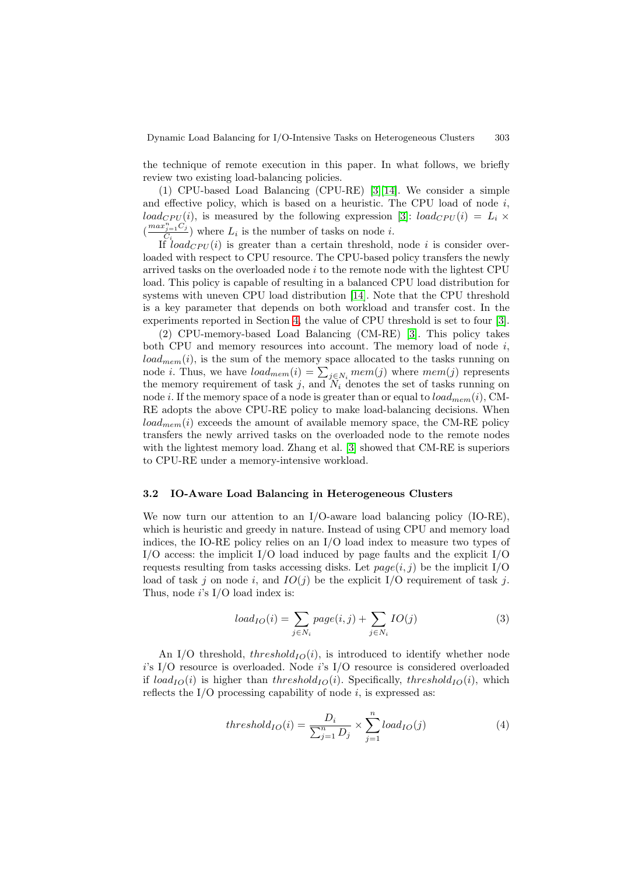<span id="page-3-0"></span>the technique of remote execution in this paper. In what follows, we briefly review two existing load-balancing policies.

(1) CPU-based Load Balancing (CPU-RE) [\[3\]\[14\]](#page-9-0). We consider a simple and effective policy, which is based on a heuristic. The CPU load of node  $i$ , load<sub>CPU</sub>(i), is measured by the following expression [\[3\]](#page-9-0): load<sub>CPU</sub>(i) =  $L_i \times$  $\left(\frac{max_{j=1}^{n} C_j}{C_i}\right)$  where  $L_i$  is the number of tasks on node *i*.

If  $load_{CPU}(i)$  is greater than a certain threshold, node i is consider overloaded with respect to CPU resource. The CPU-based policy transfers the newly arrived tasks on the overloaded node i to the remote node with the lightest CPU load. This policy is capable of resulting in a balanced CPU load distribution for systems with uneven CPU load distribution [\[14\]](#page-9-0). Note that the CPU threshold is a key parameter that depends on both workload and transfer cost. In the experiments reported in Section [4,](#page-5-0) the value of CPU threshold is set to four [\[3\]](#page-9-0).

(2) CPU-memory-based Load Balancing (CM-RE) [\[3\]](#page-9-0). This policy takes both CPU and memory resources into account. The memory load of node  $i$ ,  $load_{mem}(i)$ , is the sum of the memory space allocated to the tasks running on node *i*. Thus, we have  $load_{mem}(i) = \sum_{j \in N_i} mem(j)$  where  $mem(j)$  represents the memory requirement of task j, and  $N_i$  denotes the set of tasks running on node i. If the memory space of a node is greater than or equal to  $load_{mem}(i)$ , CM-RE adopts the above CPU-RE policy to make load-balancing decisions. When  $load_{mem}(i)$  exceeds the amount of available memory space, the CM-RE policy transfers the newly arrived tasks on the overloaded node to the remote nodes with the lightest memory load. Zhang et al. [\[3\]](#page-9-0) showed that CM-RE is superiors to CPU-RE under a memory-intensive workload.

#### **3.2 IO-Aware Load Balancing in Heterogeneous Clusters**

We now turn our attention to an I/O-aware load balancing policy (IO-RE), which is heuristic and greedy in nature. Instead of using CPU and memory load indices, the IO-RE policy relies on an I/O load index to measure two types of  $I/O$  access: the implicit  $I/O$  load induced by page faults and the explicit  $I/O$ requests resulting from tasks accessing disks. Let  $page(i, j)$  be the implicit I/O load of task j on node i, and  $IO(j)$  be the explicit I/O requirement of task j. Thus, node  $i$ 's I/O load index is:

$$
load_{IO}(i) = \sum_{j \in N_i} page(i, j) + \sum_{j \in N_i} IO(j)
$$
\n(3)

An I/O threshold, threshold $_{IO}(i)$ , is introduced to identify whether node i's I/O resource is overloaded. Node i's I/O resource is considered overloaded if  $load_{IO}(i)$  is higher than threshold<sub>IO</sub> $(i)$ . Specifically, threshold<sub>IO</sub> $(i)$ , which reflects the I/O processing capability of node  $i$ , is expressed as:

$$
threshold_{IO}(i) = \frac{D_i}{\sum_{j=1}^{n} D_j} \times \sum_{j=1}^{n} load_{IO}(j)
$$
 (4)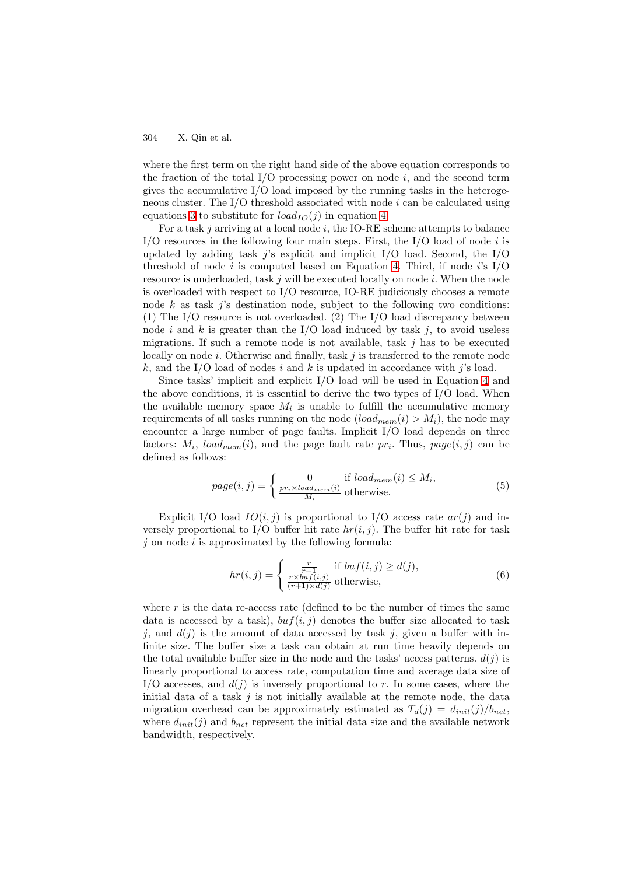where the first term on the right hand side of the above equation corresponds to the fraction of the total I/O processing power on node  $i$ , and the second term gives the accumulative I/O load imposed by the running tasks in the heterogeneous cluster. The  $I/O$  threshold associated with node  $i$  can be calculated using equations [3](#page-3-0) to substitute for  $load_{IO}(j)$  in equation [4.](#page-3-0)

For a task  $j$  arriving at a local node  $i$ , the IO-RE scheme attempts to balance I/O resources in the following four main steps. First, the I/O load of node  $i$  is updated by adding task j's explicit and implicit  $I/O$  load. Second, the  $I/O$ threshold of node i is computed based on Equation [4.](#page-3-0) Third, if node i's  $I/O$ resource is underloaded, task  $j$  will be executed locally on node  $i$ . When the node is overloaded with respect to I/O resource, IO-RE judiciously chooses a remote node k as task j's destination node, subject to the following two conditions: (1) The I/O resource is not overloaded. (2) The I/O load discrepancy between node i and k is greater than the I/O load induced by task j, to avoid useless migrations. If such a remote node is not available, task  $j$  has to be executed locally on node  $i$ . Otherwise and finally, task  $j$  is transferred to the remote node k, and the I/O load of nodes i and k is updated in accordance with j's load.

Since tasks' implicit and explicit I/O load will be used in Equation [4](#page-3-0) and the above conditions, it is essential to derive the two types of  $I/O$  load. When the available memory space  $M_i$  is unable to fulfill the accumulative memory requirements of all tasks running on the node  $\left( \text{load}_{mem}(i) > M_i \right)$ , the node may encounter a large number of page faults. Implicit I/O load depends on three factors:  $M_i$ ,  $load_{mem}(i)$ , and the page fault rate  $pr_i$ . Thus,  $page(i, j)$  can be defined as follows:

$$
page(i, j) = \begin{cases} 0 & \text{if load}_{mem}(i) \le M_i, \\ \frac{pr_i \times load_{mem}(i)}{M_i} & \text{otherwise.} \end{cases}
$$
(5)

Explicit I/O load  $IO(i, j)$  is proportional to I/O access rate  $ar(j)$  and inversely proportional to I/O buffer hit rate  $hr(i, j)$ . The buffer hit rate for task  $j$  on node  $i$  is approximated by the following formula:

$$
hr(i,j) = \begin{cases} \frac{r}{r+1} & \text{if } but f(i,j) \ge d(j),\\ \frac{r \times buf(i,j)}{(r+1) \times d(j)} & \text{otherwise}, \end{cases}
$$
(6)

where  $r$  is the data re-access rate (defined to be the number of times the same data is accessed by a task),  $buf(i, j)$  denotes the buffer size allocated to task j, and  $d(j)$  is the amount of data accessed by task j, given a buffer with infinite size. The buffer size a task can obtain at run time heavily depends on the total available buffer size in the node and the tasks' access patterns.  $d(j)$  is linearly proportional to access rate, computation time and average data size of I/O accesses, and  $d(j)$  is inversely proportional to r. In some cases, where the initial data of a task  $j$  is not initially available at the remote node, the data migration overhead can be approximately estimated as  $T_d(j) = d_{init}(j)/b_{net}$ , where  $d_{init}(j)$  and  $b_{net}$  represent the initial data size and the available network bandwidth, respectively.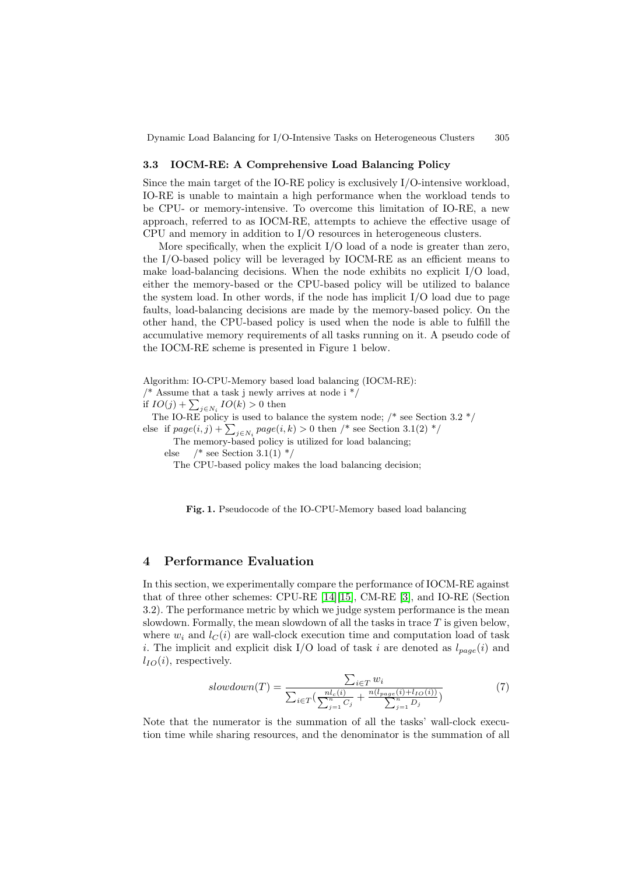### <span id="page-5-0"></span>**3.3 IOCM-RE: A Comprehensive Load Balancing Policy**

Since the main target of the IO-RE policy is exclusively I/O-intensive workload, IO-RE is unable to maintain a high performance when the workload tends to be CPU- or memory-intensive. To overcome this limitation of IO-RE, a new approach, referred to as IOCM-RE, attempts to achieve the effective usage of CPU and memory in addition to I/O resources in heterogeneous clusters.

More specifically, when the explicit I/O load of a node is greater than zero, the I/O-based policy will be leveraged by IOCM-RE as an efficient means to make load-balancing decisions. When the node exhibits no explicit  $I/O$  load, either the memory-based or the CPU-based policy will be utilized to balance the system load. In other words, if the node has implicit I/O load due to page faults, load-balancing decisions are made by the memory-based policy. On the other hand, the CPU-based policy is used when the node is able to fulfill the accumulative memory requirements of all tasks running on it. A pseudo code of the IOCM-RE scheme is presented in Figure 1 below.

Algorithm: IO-CPU-Memory based load balancing (IOCM-RE):

/\* Assume that a task j newly arrives at node i  $*/$ 

if  $IO(j) + \sum_{j \in N_i} IO(k) > 0$  then

The IO-RE policy is used to balance the system node;  $/*$  see Section 3.2  $*/$ else if  $page(i, j) + \sum_{j \in N_i} page(i, k) > 0$  then /\* see Section 3.1(2) \*/

The memory-based policy is utilized for load balancing;

else  $/*$  see Section 3.1(1)  $*/$ 

The CPU-based policy makes the load balancing decision;

**Fig. 1.** Pseudocode of the IO-CPU-Memory based load balancing

### **4 Performance Evaluation**

In this section, we experimentally compare the performance of IOCM-RE against that of three other schemes: CPU-RE [\[14\]\[15\]](#page-9-0), CM-RE [\[3\]](#page-9-0), and IO-RE (Section 3.2). The performance metric by which we judge system performance is the mean slowdown. Formally, the mean slowdown of all the tasks in trace  $T$  is given below, where  $w_i$  and  $l_C(i)$  are wall-clock execution time and computation load of task i. The implicit and explicit disk I/O load of task i are denoted as  $l_{page}(i)$  and  $l_{IO}(i)$ , respectively.

$$
slowdown(T) = \frac{\sum_{i \in T} w_i}{\sum_{i \in T} (\frac{n l_c(i)}{\sum_{j=1}^n C_j} + \frac{n(l_{page}(i) + l_{IO}(i))}{\sum_{j=1}^n D_j})}
$$
(7)

Note that the numerator is the summation of all the tasks' wall-clock execution time while sharing resources, and the denominator is the summation of all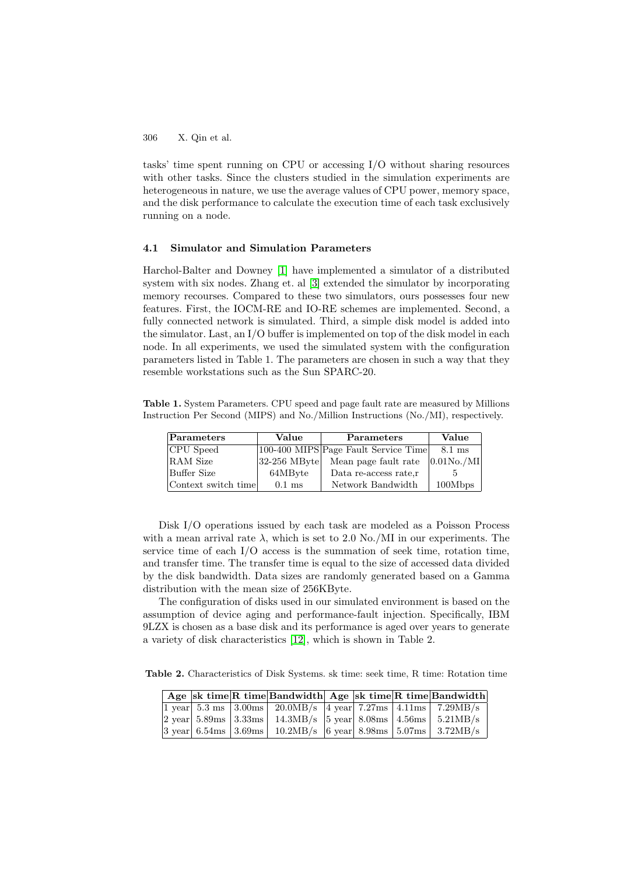tasks' time spent running on CPU or accessing I/O without sharing resources with other tasks. Since the clusters studied in the simulation experiments are heterogeneous in nature, we use the average values of CPU power, memory space, and the disk performance to calculate the execution time of each task exclusively running on a node.

### **4.1 Simulator and Simulation Parameters**

Harchol-Balter and Downey [\[1\]](#page-9-0) have implemented a simulator of a distributed system with six nodes. Zhang et. al [\[3\]](#page-9-0) extended the simulator by incorporating memory recourses. Compared to these two simulators, ours possesses four new features. First, the IOCM-RE and IO-RE schemes are implemented. Second, a fully connected network is simulated. Third, a simple disk model is added into the simulator. Last, an I/O buffer is implemented on top of the disk model in each node. In all experiments, we used the simulated system with the configuration parameters listed in Table 1. The parameters are chosen in such a way that they resemble workstations such as the Sun SPARC-20.

**Table 1.** System Parameters. CPU speed and page fault rate are measured by Millions Instruction Per Second (MIPS) and No./Million Instructions (No./MI), respectively.

| Parameters          | Value                    | Parameters                           | Value          |  |  |
|---------------------|--------------------------|--------------------------------------|----------------|--|--|
| CPU Speed           |                          | 100-400 MIPS Page Fault Service Time | 8.1 ms         |  |  |
| RAM Size            | $ 32-256 \text{ MB}$ yte | Mean page fault rate                 | $ 0.01N0$ ./MI |  |  |
| Buffer Size         | 64MByte                  | Data re-access rate.r                |                |  |  |
| Context switch time | $0.1$ ms                 | Network Bandwidth                    | 100Mbps        |  |  |

Disk I/O operations issued by each task are modeled as a Poisson Process with a mean arrival rate  $\lambda$ , which is set to 2.0 No./MI in our experiments. The service time of each I/O access is the summation of seek time, rotation time, and transfer time. The transfer time is equal to the size of accessed data divided by the disk bandwidth. Data sizes are randomly generated based on a Gamma distribution with the mean size of 256KByte.

The configuration of disks used in our simulated environment is based on the assumption of device aging and performance-fault injection. Specifically, IBM 9LZX is chosen as a base disk and its performance is aged over years to generate a variety of disk characteristics [\[12\]](#page-9-0), which is shown in Table 2.

**Table 2.** Characteristics of Disk Systems. sk time: seek time, R time: Rotation time

|  |  | $\vert$ Age sk time R time Bandwidth Age sk time R time Bandwidth                                                                                                             |  |  |
|--|--|-------------------------------------------------------------------------------------------------------------------------------------------------------------------------------|--|--|
|  |  | $\boxed{1 \text{ year} \mid 5.3 \text{ ms} \mid 3.00 \text{ms} \mid 20.0 \text{MB/s} \mid 4 \text{ year} \mid 7.27 \text{ms} \mid 4.11 \text{ms} \mid 7.29 \text{MB/s}}$      |  |  |
|  |  | $\vert 2 \text{ year} \vert 5.89 \text{ms} \vert 3.33 \text{ms} \vert 14.3 \text{MB/s} \vert 5 \text{ year} \vert 8.08 \text{ms} \vert 4.56 \text{ms} \vert 5.21 \text{MB/s}$ |  |  |
|  |  | $ 3 \text{ year}  6.54 \text{ms}   3.69 \text{ms}   10.2 \text{MB/s}   6 \text{ year}   8.98 \text{ms}   5.07 \text{ms}   3.72 \text{MB/s}$                                   |  |  |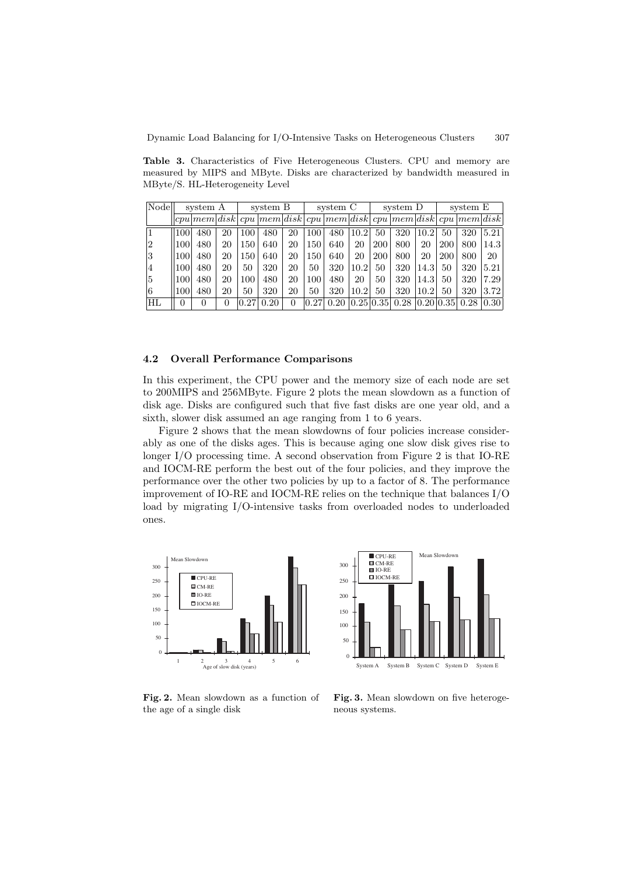**Table 3.** Characteristics of Five Heterogeneous Clusters. CPU and memory are measured by MIPS and MByte. Disks are characterized by bandwidth measured in MByte/S. HL-Heterogeneity Level

| Node | system A |                                                                      | system B     |      | system C |    |     | system D |           |            | system E |           |     |      |      |
|------|----------|----------------------------------------------------------------------|--------------|------|----------|----|-----|----------|-----------|------------|----------|-----------|-----|------|------|
|      |          | $ cpu mem disk cpu mem disk cpu mem disk cpu mem disk cpu mem disk)$ |              |      |          |    |     |          |           |            |          |           |     |      |      |
|      | 100      | 480                                                                  | 20           | 100  | 480      | 20 | 100 | 480      | 10.2      | 50         | 320      | 10.2      | 50  | 320  | 5.21 |
| 12   | 100      | 480                                                                  | 20           | 150  | 640      | 20 | 150 | 640      | 20        | <b>200</b> | 800      | 20        | 200 | 800  | 14.3 |
| 3    | 100      | 480                                                                  | 20           | 150  | 640      | 20 | 150 | 640      | 20        | <b>200</b> | 800      | 20        | 200 | 800  | 20   |
| 14   | 100      | 480                                                                  | 20           | 50   | 320      | 20 | 50  | 320      | 10.2      | 50         | 320      | 14.3      | 50  | 320  | 5.21 |
| 5    | 100      | 480                                                                  | 20           | 100  | 480      | 20 | 100 | 480      | 20        | 50         | 320      | 14.3      | 50  | 320  | 7.29 |
| 16   | 100      | 480                                                                  | 20           | 50   | 320      | 20 | 50  | 320      | 10.2      | 50         | 320      | 10.2      | 50  | 320  | 3.72 |
| НL   | 0        | $\left( \right)$                                                     | $\mathbf{0}$ | 0.27 | 0.20     | 0  |     | 0.20     | 0.25 0.35 |            | 0.28     | 0.2010.35 |     | 0.28 | 0.30 |

### **4.2 Overall Performance Comparisons**

In this experiment, the CPU power and the memory size of each node are set to 200MIPS and 256MByte. Figure 2 plots the mean slowdown as a function of disk age. Disks are configured such that five fast disks are one year old, and a sixth, slower disk assumed an age ranging from 1 to 6 years.

Figure 2 shows that the mean slowdowns of four policies increase considerably as one of the disks ages. This is because aging one slow disk gives rise to longer I/O processing time. A second observation from Figure 2 is that IO-RE and IOCM-RE perform the best out of the four policies, and they improve the performance over the other two policies by up to a factor of 8. The performance improvement of IO-RE and IOCM-RE relies on the technique that balances I/O load by migrating I/O-intensive tasks from overloaded nodes to underloaded ones.





**Fig. 2.** Mean slowdown as a function of the age of a single disk

**Fig. 3.** Mean slowdown on five heterogeneous systems.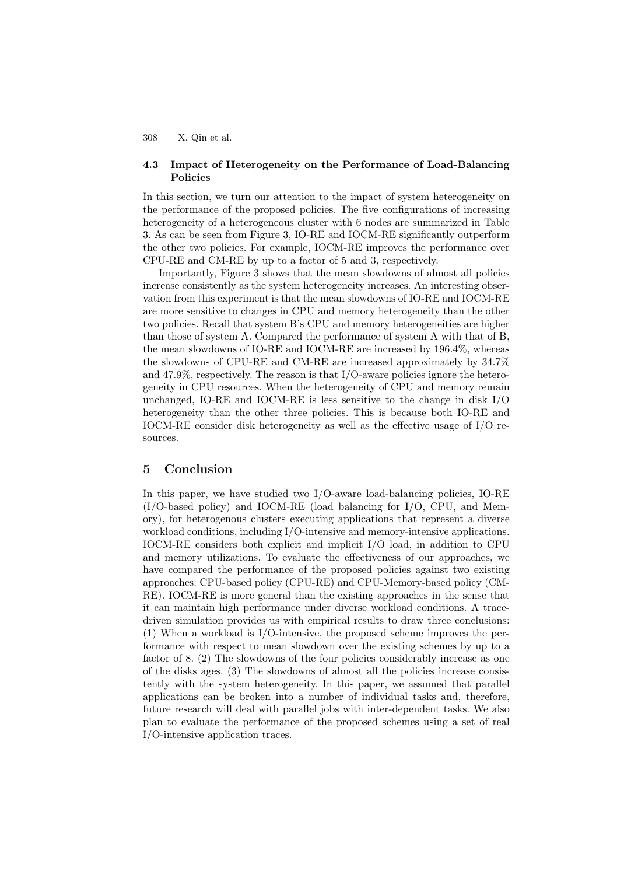### <span id="page-8-0"></span>**4.3 Impact of Heterogeneity on the Performance of Load-Balancing Policies**

In this section, we turn our attention to the impact of system heterogeneity on the performance of the proposed policies. The five configurations of increasing heterogeneity of a heterogeneous cluster with 6 nodes are summarized in Table 3. As can be seen from Figure 3, IO-RE and IOCM-RE significantly outperform the other two policies. For example, IOCM-RE improves the performance over CPU-RE and CM-RE by up to a factor of 5 and 3, respectively.

Importantly, Figure 3 shows that the mean slowdowns of almost all policies increase consistently as the system heterogeneity increases. An interesting observation from this experiment is that the mean slowdowns of IO-RE and IOCM-RE are more sensitive to changes in CPU and memory heterogeneity than the other two policies. Recall that system B's CPU and memory heterogeneities are higher than those of system A. Compared the performance of system A with that of B, the mean slowdowns of IO-RE and IOCM-RE are increased by 196.4%, whereas the slowdowns of CPU-RE and CM-RE are increased approximately by 34.7% and  $47.9\%$ , respectively. The reason is that I/O-aware policies ignore the heterogeneity in CPU resources. When the heterogeneity of CPU and memory remain unchanged, IO-RE and IOCM-RE is less sensitive to the change in disk I/O heterogeneity than the other three policies. This is because both IO-RE and IOCM-RE consider disk heterogeneity as well as the effective usage of I/O resources.

# **5 Conclusion**

In this paper, we have studied two I/O-aware load-balancing policies, IO-RE (I/O-based policy) and IOCM-RE (load balancing for I/O, CPU, and Memory), for heterogenous clusters executing applications that represent a diverse workload conditions, including I/O-intensive and memory-intensive applications. IOCM-RE considers both explicit and implicit I/O load, in addition to CPU and memory utilizations. To evaluate the effectiveness of our approaches, we have compared the performance of the proposed policies against two existing approaches: CPU-based policy (CPU-RE) and CPU-Memory-based policy (CM-RE). IOCM-RE is more general than the existing approaches in the sense that it can maintain high performance under diverse workload conditions. A tracedriven simulation provides us with empirical results to draw three conclusions: (1) When a workload is I/O-intensive, the proposed scheme improves the performance with respect to mean slowdown over the existing schemes by up to a factor of 8. (2) The slowdowns of the four policies considerably increase as one of the disks ages. (3) The slowdowns of almost all the policies increase consistently with the system heterogeneity. In this paper, we assumed that parallel applications can be broken into a number of individual tasks and, therefore, future research will deal with parallel jobs with inter-dependent tasks. We also plan to evaluate the performance of the proposed schemes using a set of real I/O-intensive application traces.